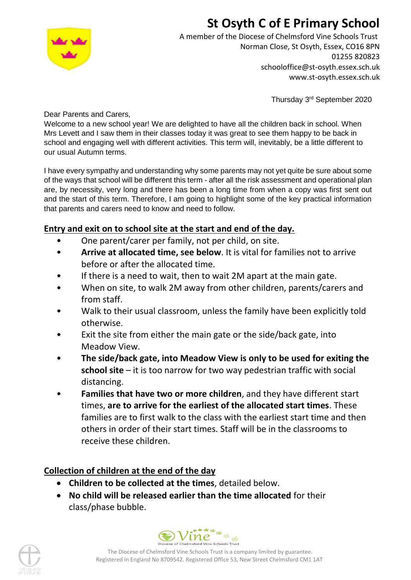# **St Osyth C of E Primary School**



A member of the Diocese of Chelmsford Vine Schools Trust Norman Close, St Osyth, Essex, CO16 8PN 01255 820823 schooloffice@st-osyth.essex.sch.uk www.st-osyth.essex.sch.uk

Thursday 3rd September 2020

Dear Parents and Carers,

Welcome to a new school year! We are delighted to have all the children back in school. When Mrs Levett and I saw them in their classes today it was great to see them happy to be back in school and engaging well with different activities. This term will, inevitably, be a little different to our usual Autumn terms.

I have every sympathy and understanding why some parents may not yet quite be sure about some of the ways that school will be different this term - after all the risk assessment and operational plan are, by necessity, very long and there has been a long time from when a copy was first sent out and the start of this term. Therefore, I am going to highlight some of the key practical information that parents and carers need to know and need to follow.

### **Entry and exit on to school site at the start and end of the day.**

- One parent/carer per family, not per child, on site.
- **Arrive at allocated time, see below**. It is vital for families not to arrive before or after the allocated time.
- If there is a need to wait, then to wait 2M apart at the main gate.
- When on site, to walk 2M away from other children, parents/carers and from staff.
- Walk to their usual classroom, unless the family have been explicitly told otherwise.
- Exit the site from either the main gate or the side/back gate, into Meadow View.
- **The side/back gate, into Meadow View is only to be used for exiting the school site** – it is too narrow for two way pedestrian traffic with social distancing.
- **Families that have two or more children**, and they have different start times, **are to arrive for the earliest of the allocated start times**. These families are to first walk to the class with the earliest start time and then others in order of their start times. Staff will be in the classrooms to receive these children.

## **Collection of children at the end of the day**

- **Children to be collected at the times**, detailed below.
- **No child will be released earlier than the time allocated** for their class/phase bubble.



The Diocese of Chelmsford Vine Schools Trust is a company limited by guarantee. Registered in England No 8709542. Registered Office 53, New Street Chelmsford CM1 1AT